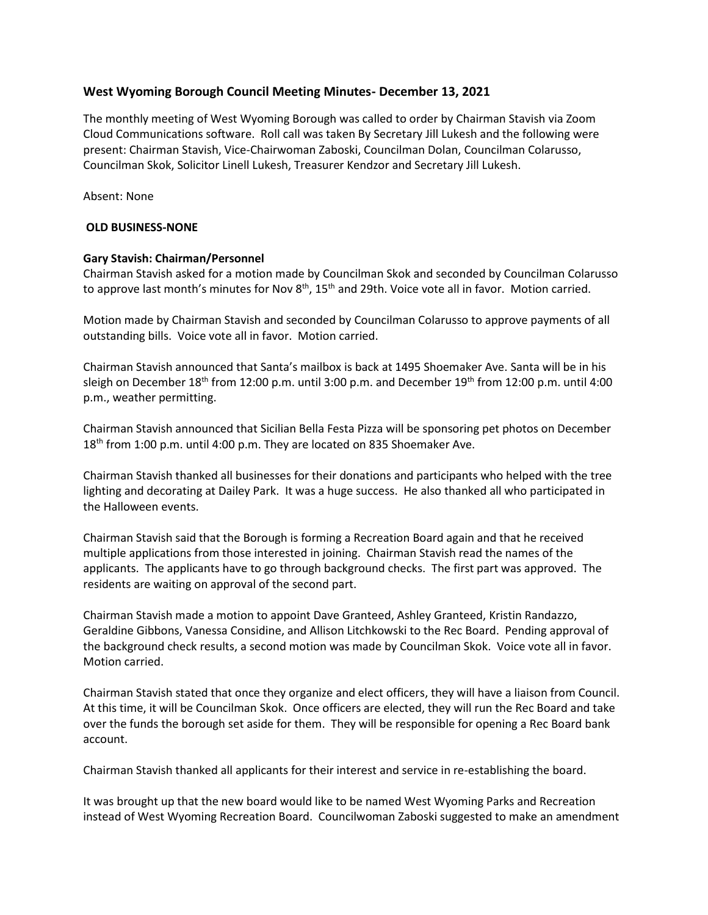# **West Wyoming Borough Council Meeting Minutes- December 13, 2021**

The monthly meeting of West Wyoming Borough was called to order by Chairman Stavish via Zoom Cloud Communications software. Roll call was taken By Secretary Jill Lukesh and the following were present: Chairman Stavish, Vice-Chairwoman Zaboski, Councilman Dolan, Councilman Colarusso, Councilman Skok, Solicitor Linell Lukesh, Treasurer Kendzor and Secretary Jill Lukesh.

Absent: None

## **OLD BUSINESS-NONE**

## **Gary Stavish: Chairman/Personnel**

Chairman Stavish asked for a motion made by Councilman Skok and seconded by Councilman Colarusso to approve last month's minutes for Nov 8<sup>th</sup>, 15<sup>th</sup> and 29th. Voice vote all in favor. Motion carried.

Motion made by Chairman Stavish and seconded by Councilman Colarusso to approve payments of all outstanding bills. Voice vote all in favor. Motion carried.

Chairman Stavish announced that Santa's mailbox is back at 1495 Shoemaker Ave. Santa will be in his sleigh on December 18th from 12:00 p.m. until 3:00 p.m. and December 19th from 12:00 p.m. until 4:00 p.m., weather permitting.

Chairman Stavish announced that Sicilian Bella Festa Pizza will be sponsoring pet photos on December 18<sup>th</sup> from 1:00 p.m. until 4:00 p.m. They are located on 835 Shoemaker Ave.

Chairman Stavish thanked all businesses for their donations and participants who helped with the tree lighting and decorating at Dailey Park. It was a huge success. He also thanked all who participated in the Halloween events.

Chairman Stavish said that the Borough is forming a Recreation Board again and that he received multiple applications from those interested in joining. Chairman Stavish read the names of the applicants. The applicants have to go through background checks. The first part was approved. The residents are waiting on approval of the second part.

Chairman Stavish made a motion to appoint Dave Granteed, Ashley Granteed, Kristin Randazzo, Geraldine Gibbons, Vanessa Considine, and Allison Litchkowski to the Rec Board. Pending approval of the background check results, a second motion was made by Councilman Skok. Voice vote all in favor. Motion carried.

Chairman Stavish stated that once they organize and elect officers, they will have a liaison from Council. At this time, it will be Councilman Skok. Once officers are elected, they will run the Rec Board and take over the funds the borough set aside for them. They will be responsible for opening a Rec Board bank account.

Chairman Stavish thanked all applicants for their interest and service in re-establishing the board.

It was brought up that the new board would like to be named West Wyoming Parks and Recreation instead of West Wyoming Recreation Board. Councilwoman Zaboski suggested to make an amendment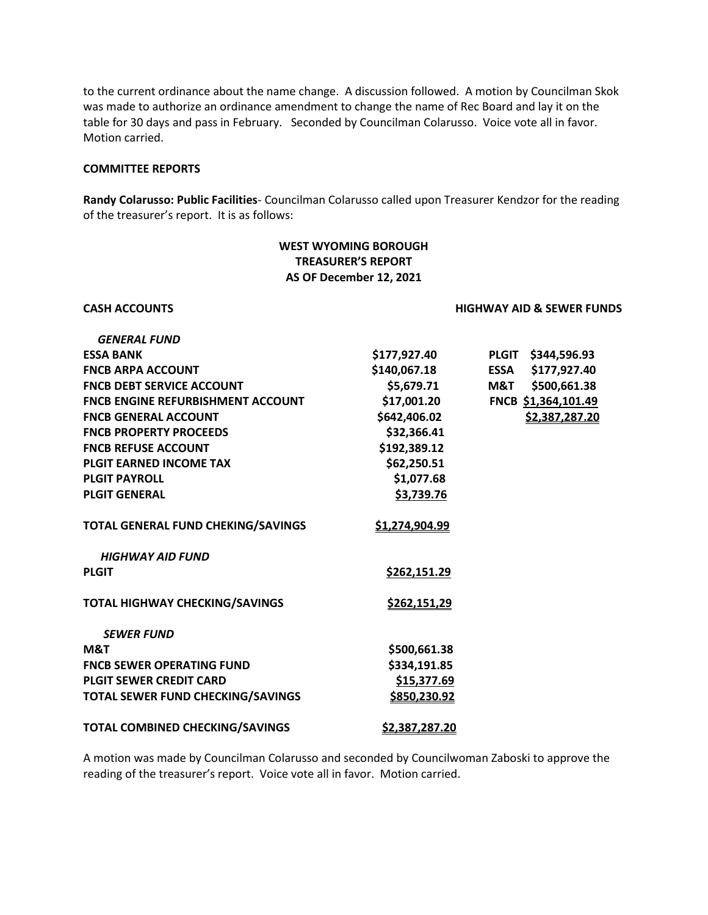to the current ordinance about the name change. A discussion followed. A motion by Councilman Skok was made to authorize an ordinance amendment to change the name of Rec Board and lay it on the table for 30 days and pass in February. Seconded by Councilman Colarusso. Voice vote all in favor. Motion carried.

#### **COMMITTEE REPORTS**

**Randy Colarusso: Public Facilities**- Councilman Colarusso called upon Treasurer Kendzor for the reading of the treasurer's report. It is as follows:

# **WEST WYOMING BOROUGH TREASURER'S REPORT AS OF December 12, 2021**

**CASH ACCOUNTS HIGHWAY AID & SEWER FUNDS**

| <b>GENERAL FUND</b>                      |                       |                      |
|------------------------------------------|-----------------------|----------------------|
| <b>ESSA BANK</b>                         | \$177,927.40          | PLGIT \$344,596.93   |
| <b>FNCB ARPA ACCOUNT</b>                 | \$140,067.18          | \$177,927.40<br>ESSA |
| <b>FNCB DEBT SERVICE ACCOUNT</b>         | \$5,679.71            | \$500,661.38<br>M&T  |
| <b>FNCB ENGINE REFURBISHMENT ACCOUNT</b> | \$17,001.20           | FNCB \$1,364,101.49  |
| <b>FNCB GENERAL ACCOUNT</b>              | \$642,406.02          | \$2,387,287.20       |
| <b>FNCB PROPERTY PROCEEDS</b>            | \$32,366.41           |                      |
| <b>FNCB REFUSE ACCOUNT</b>               | \$192,389.12          |                      |
| <b>PLGIT EARNED INCOME TAX</b>           | \$62,250.51           |                      |
| <b>PLGIT PAYROLL</b>                     | \$1,077.68            |                      |
| <b>PLGIT GENERAL</b>                     | \$3,739.76            |                      |
| TOTAL GENERAL FUND CHEKING/SAVINGS       | <u>\$1,274,904.99</u> |                      |
|                                          |                       |                      |
| <b>HIGHWAY AID FUND</b>                  |                       |                      |
| <b>PLGIT</b>                             | \$262,151.29          |                      |
|                                          |                       |                      |
| <b>TOTAL HIGHWAY CHECKING/SAVINGS</b>    | \$262,151,29          |                      |
|                                          |                       |                      |
| <b>SEWER FUND</b>                        |                       |                      |
| M&T                                      | \$500,661.38          |                      |
| <b>FNCB SEWER OPERATING FUND</b>         | \$334,191.85          |                      |
| <b>PLGIT SEWER CREDIT CARD</b>           | \$15,377.69           |                      |
| <b>TOTAL SEWER FUND CHECKING/SAVINGS</b> | \$850,230.92          |                      |
| <b>TOTAL COMBINED CHECKING/SAVINGS</b>   | \$2,387,287.20        |                      |
|                                          |                       |                      |

A motion was made by Councilman Colarusso and seconded by Councilwoman Zaboski to approve the reading of the treasurer's report. Voice vote all in favor. Motion carried.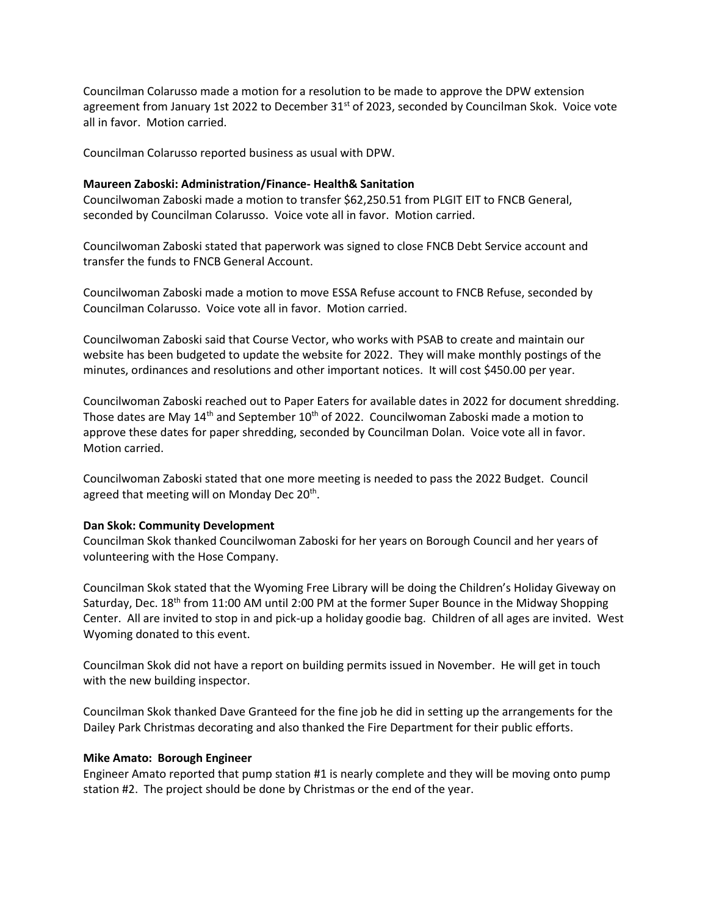Councilman Colarusso made a motion for a resolution to be made to approve the DPW extension agreement from January 1st 2022 to December 31<sup>st</sup> of 2023, seconded by Councilman Skok. Voice vote all in favor. Motion carried.

Councilman Colarusso reported business as usual with DPW.

### **Maureen Zaboski: Administration/Finance- Health& Sanitation**

Councilwoman Zaboski made a motion to transfer \$62,250.51 from PLGIT EIT to FNCB General, seconded by Councilman Colarusso. Voice vote all in favor. Motion carried.

Councilwoman Zaboski stated that paperwork was signed to close FNCB Debt Service account and transfer the funds to FNCB General Account.

Councilwoman Zaboski made a motion to move ESSA Refuse account to FNCB Refuse, seconded by Councilman Colarusso. Voice vote all in favor. Motion carried.

Councilwoman Zaboski said that Course Vector, who works with PSAB to create and maintain our website has been budgeted to update the website for 2022. They will make monthly postings of the minutes, ordinances and resolutions and other important notices. It will cost \$450.00 per year.

Councilwoman Zaboski reached out to Paper Eaters for available dates in 2022 for document shredding. Those dates are May  $14<sup>th</sup>$  and September 10<sup>th</sup> of 2022. Councilwoman Zaboski made a motion to approve these dates for paper shredding, seconded by Councilman Dolan. Voice vote all in favor. Motion carried.

Councilwoman Zaboski stated that one more meeting is needed to pass the 2022 Budget. Council agreed that meeting will on Monday Dec 20<sup>th</sup>.

#### **Dan Skok: Community Development**

Councilman Skok thanked Councilwoman Zaboski for her years on Borough Council and her years of volunteering with the Hose Company.

Councilman Skok stated that the Wyoming Free Library will be doing the Children's Holiday Giveway on Saturday, Dec. 18<sup>th</sup> from 11:00 AM until 2:00 PM at the former Super Bounce in the Midway Shopping Center. All are invited to stop in and pick-up a holiday goodie bag. Children of all ages are invited. West Wyoming donated to this event.

Councilman Skok did not have a report on building permits issued in November. He will get in touch with the new building inspector.

Councilman Skok thanked Dave Granteed for the fine job he did in setting up the arrangements for the Dailey Park Christmas decorating and also thanked the Fire Department for their public efforts.

#### **Mike Amato: Borough Engineer**

Engineer Amato reported that pump station #1 is nearly complete and they will be moving onto pump station #2. The project should be done by Christmas or the end of the year.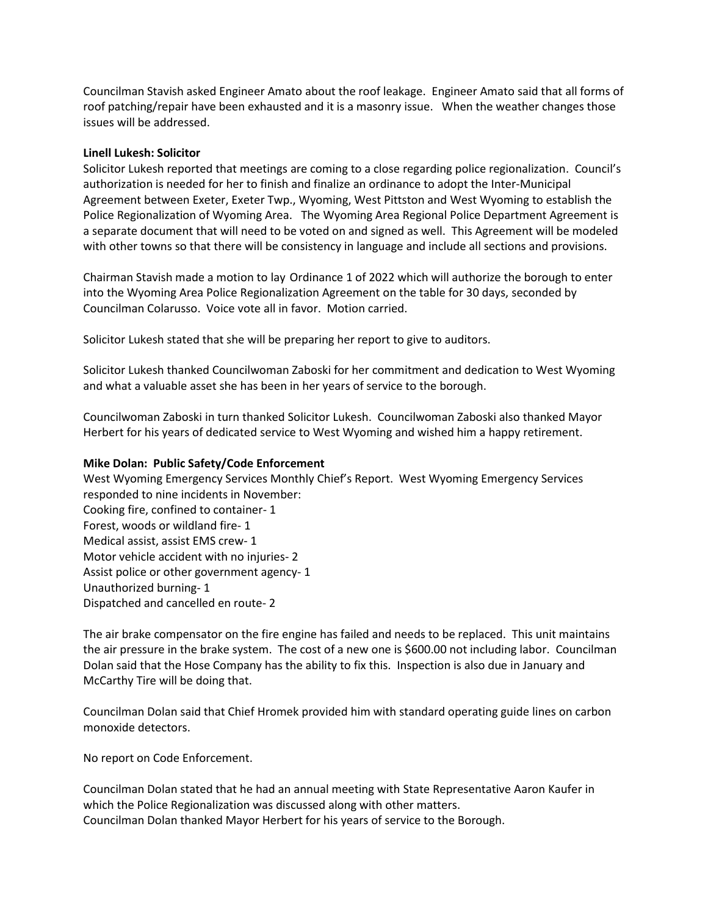Councilman Stavish asked Engineer Amato about the roof leakage. Engineer Amato said that all forms of roof patching/repair have been exhausted and it is a masonry issue. When the weather changes those issues will be addressed.

## **Linell Lukesh: Solicitor**

Solicitor Lukesh reported that meetings are coming to a close regarding police regionalization. Council's authorization is needed for her to finish and finalize an ordinance to adopt the Inter-Municipal Agreement between Exeter, Exeter Twp., Wyoming, West Pittston and West Wyoming to establish the Police Regionalization of Wyoming Area. The Wyoming Area Regional Police Department Agreement is a separate document that will need to be voted on and signed as well. This Agreement will be modeled with other towns so that there will be consistency in language and include all sections and provisions.

Chairman Stavish made a motion to lay Ordinance 1 of 2022 which will authorize the borough to enter into the Wyoming Area Police Regionalization Agreement on the table for 30 days, seconded by Councilman Colarusso. Voice vote all in favor. Motion carried.

Solicitor Lukesh stated that she will be preparing her report to give to auditors.

Solicitor Lukesh thanked Councilwoman Zaboski for her commitment and dedication to West Wyoming and what a valuable asset she has been in her years of service to the borough.

Councilwoman Zaboski in turn thanked Solicitor Lukesh. Councilwoman Zaboski also thanked Mayor Herbert for his years of dedicated service to West Wyoming and wished him a happy retirement.

## **Mike Dolan: Public Safety/Code Enforcement**

West Wyoming Emergency Services Monthly Chief's Report. West Wyoming Emergency Services responded to nine incidents in November: Cooking fire, confined to container- 1 Forest, woods or wildland fire- 1 Medical assist, assist EMS crew- 1 Motor vehicle accident with no injuries- 2 Assist police or other government agency- 1 Unauthorized burning- 1 Dispatched and cancelled en route- 2

The air brake compensator on the fire engine has failed and needs to be replaced. This unit maintains the air pressure in the brake system. The cost of a new one is \$600.00 not including labor. Councilman Dolan said that the Hose Company has the ability to fix this. Inspection is also due in January and McCarthy Tire will be doing that.

Councilman Dolan said that Chief Hromek provided him with standard operating guide lines on carbon monoxide detectors.

No report on Code Enforcement.

Councilman Dolan stated that he had an annual meeting with State Representative Aaron Kaufer in which the Police Regionalization was discussed along with other matters. Councilman Dolan thanked Mayor Herbert for his years of service to the Borough.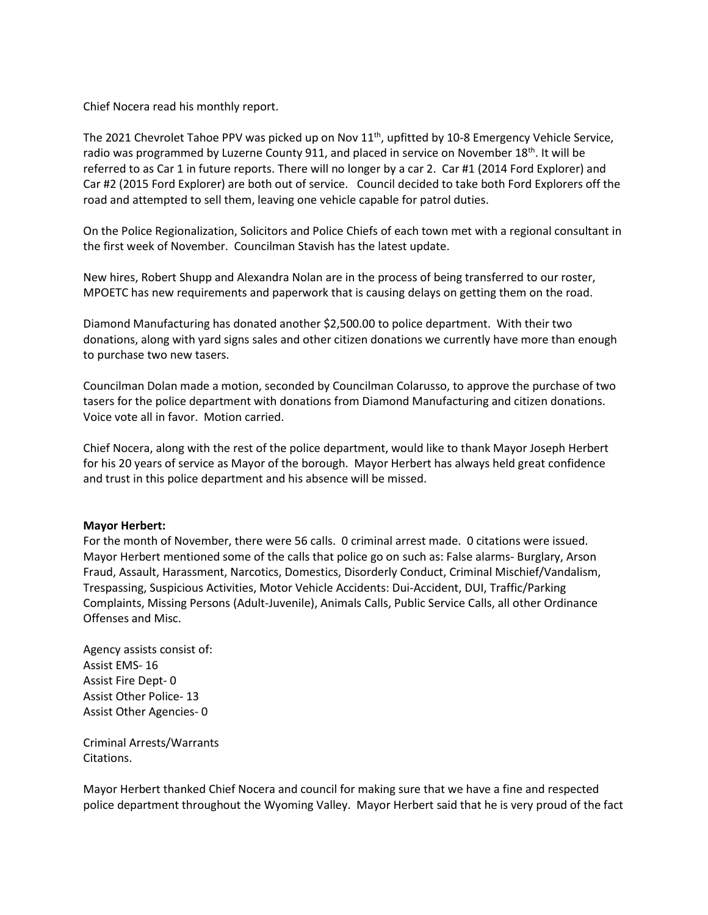Chief Nocera read his monthly report.

The 2021 Chevrolet Tahoe PPV was picked up on Nov 11<sup>th</sup>, upfitted by 10-8 Emergency Vehicle Service, radio was programmed by Luzerne County 911, and placed in service on November 18<sup>th</sup>. It will be referred to as Car 1 in future reports. There will no longer by a car 2. Car #1 (2014 Ford Explorer) and Car #2 (2015 Ford Explorer) are both out of service. Council decided to take both Ford Explorers off the road and attempted to sell them, leaving one vehicle capable for patrol duties.

On the Police Regionalization, Solicitors and Police Chiefs of each town met with a regional consultant in the first week of November. Councilman Stavish has the latest update.

New hires, Robert Shupp and Alexandra Nolan are in the process of being transferred to our roster, MPOETC has new requirements and paperwork that is causing delays on getting them on the road.

Diamond Manufacturing has donated another \$2,500.00 to police department. With their two donations, along with yard signs sales and other citizen donations we currently have more than enough to purchase two new tasers.

Councilman Dolan made a motion, seconded by Councilman Colarusso, to approve the purchase of two tasers for the police department with donations from Diamond Manufacturing and citizen donations. Voice vote all in favor. Motion carried.

Chief Nocera, along with the rest of the police department, would like to thank Mayor Joseph Herbert for his 20 years of service as Mayor of the borough. Mayor Herbert has always held great confidence and trust in this police department and his absence will be missed.

#### **Mayor Herbert:**

For the month of November, there were 56 calls. 0 criminal arrest made. 0 citations were issued. Mayor Herbert mentioned some of the calls that police go on such as: False alarms- Burglary, Arson Fraud, Assault, Harassment, Narcotics, Domestics, Disorderly Conduct, Criminal Mischief/Vandalism, Trespassing, Suspicious Activities, Motor Vehicle Accidents: Dui-Accident, DUI, Traffic/Parking Complaints, Missing Persons (Adult-Juvenile), Animals Calls, Public Service Calls, all other Ordinance Offenses and Misc.

Agency assists consist of: Assist EMS- 16 Assist Fire Dept- 0 Assist Other Police- 13 Assist Other Agencies- 0

Criminal Arrests/Warrants Citations.

Mayor Herbert thanked Chief Nocera and council for making sure that we have a fine and respected police department throughout the Wyoming Valley. Mayor Herbert said that he is very proud of the fact